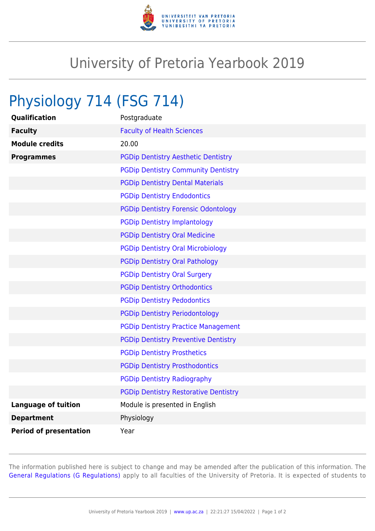

## University of Pretoria Yearbook 2019

## Physiology 714 (FSG 714)

| Qualification                 | Postgraduate                                 |
|-------------------------------|----------------------------------------------|
| <b>Faculty</b>                | <b>Faculty of Health Sciences</b>            |
| <b>Module credits</b>         | 20.00                                        |
| <b>Programmes</b>             | <b>PGDip Dentistry Aesthetic Dentistry</b>   |
|                               | <b>PGDip Dentistry Community Dentistry</b>   |
|                               | <b>PGDip Dentistry Dental Materials</b>      |
|                               | <b>PGDip Dentistry Endodontics</b>           |
|                               | <b>PGDip Dentistry Forensic Odontology</b>   |
|                               | <b>PGDip Dentistry Implantology</b>          |
|                               | <b>PGDip Dentistry Oral Medicine</b>         |
|                               | <b>PGDip Dentistry Oral Microbiology</b>     |
|                               | <b>PGDip Dentistry Oral Pathology</b>        |
|                               | <b>PGDip Dentistry Oral Surgery</b>          |
|                               | <b>PGDip Dentistry Orthodontics</b>          |
|                               | <b>PGDip Dentistry Pedodontics</b>           |
|                               | <b>PGDip Dentistry Periodontology</b>        |
|                               | <b>PGDip Dentistry Practice Management</b>   |
|                               | <b>PGDip Dentistry Preventive Dentistry</b>  |
|                               | <b>PGDip Dentistry Prosthetics</b>           |
|                               | <b>PGDip Dentistry Prosthodontics</b>        |
|                               | <b>PGDip Dentistry Radiography</b>           |
|                               | <b>PGDip Dentistry Restorative Dentistry</b> |
| <b>Language of tuition</b>    | Module is presented in English               |
| <b>Department</b>             | Physiology                                   |
| <b>Period of presentation</b> | Year                                         |

The information published here is subject to change and may be amended after the publication of this information. The [General Regulations \(G Regulations\)](https://www.up.ac.za/parents/yearbooks/2019/rules/view/REG) apply to all faculties of the University of Pretoria. It is expected of students to